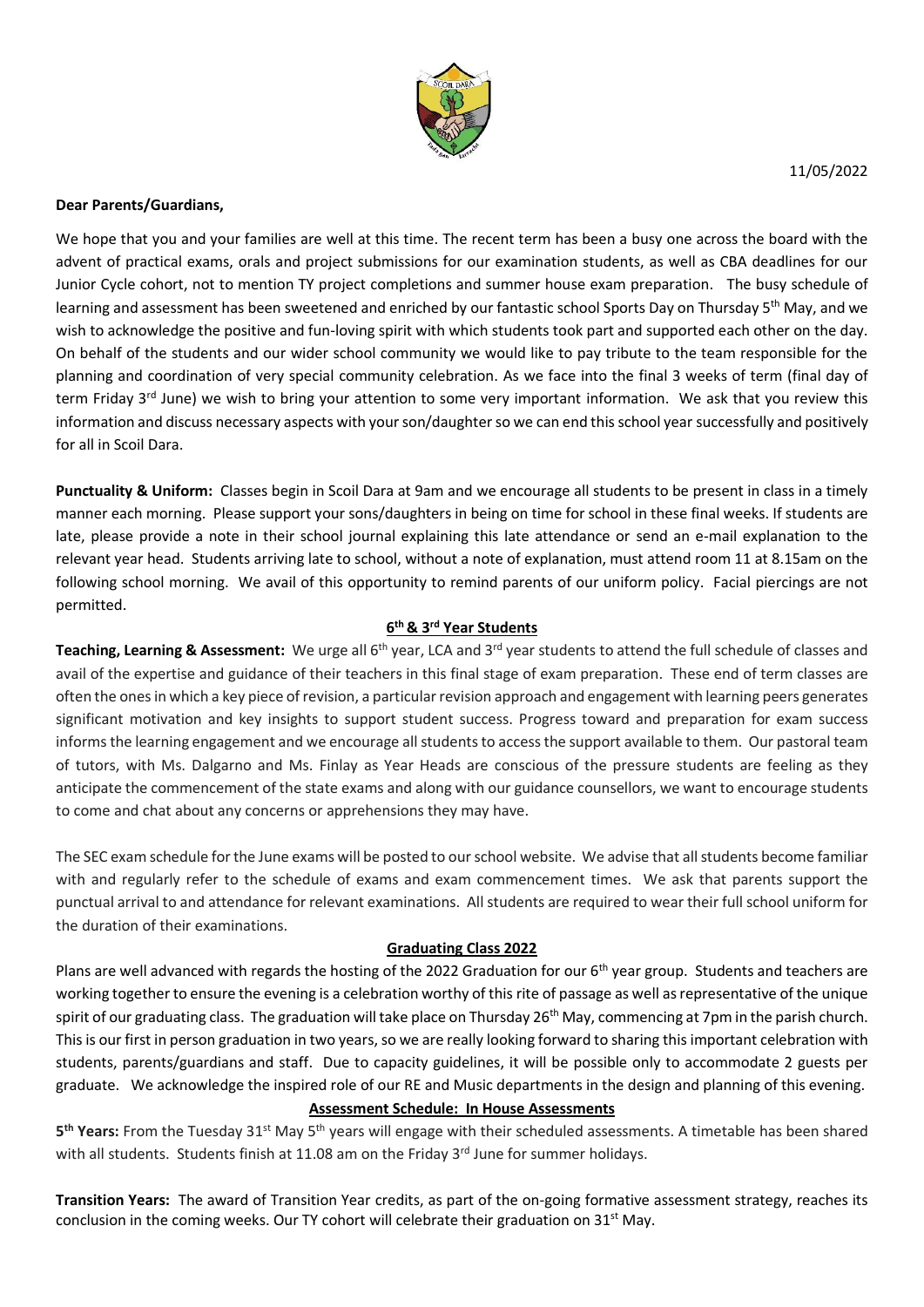

### **Dear Parents/Guardians,**

We hope that you and your families are well at this time. The recent term has been a busy one across the board with the advent of practical exams, orals and project submissions for our examination students, as well as CBA deadlines for our Junior Cycle cohort, not to mention TY project completions and summer house exam preparation. The busy schedule of learning and assessment has been sweetened and enriched by our fantastic school Sports Day on Thursday 5<sup>th</sup> May, and we wish to acknowledge the positive and fun-loving spirit with which students took part and supported each other on the day. On behalf of the students and our wider school community we would like to pay tribute to the team responsible for the planning and coordination of very special community celebration. As we face into the final 3 weeks of term (final day of term Friday 3<sup>rd</sup> June) we wish to bring your attention to some very important information. We ask that you review this information and discuss necessary aspects with your son/daughter so we can end this school year successfully and positively for all in Scoil Dara.

**Punctuality & Uniform:** Classes begin in Scoil Dara at 9am and we encourage all students to be present in class in a timely manner each morning. Please support your sons/daughters in being on time for school in these final weeks. If students are late, please provide a note in their school journal explaining this late attendance or send an e-mail explanation to the relevant year head. Students arriving late to school, without a note of explanation, must attend room 11 at 8.15am on the following school morning. We avail of this opportunity to remind parents of our uniform policy. Facial piercings are not permitted.

### **6 th & 3rd Year Students**

Teaching, Learning & Assessment: We urge all 6<sup>th</sup> year, LCA and 3<sup>rd</sup> year students to attend the full schedule of classes and avail of the expertise and guidance of their teachers in this final stage of exam preparation. These end of term classes are often the onesin which a key piece of revision, a particularrevision approach and engagement with learning peers generates significant motivation and key insights to support student success. Progress toward and preparation for exam success informs the learning engagement and we encourage all students to access the support available to them. Our pastoral team of tutors, with Ms. Dalgarno and Ms. Finlay as Year Heads are conscious of the pressure students are feeling as they anticipate the commencement of the state exams and along with our guidance counsellors, we want to encourage students to come and chat about any concerns or apprehensions they may have.

The SEC exam schedule for the June exams will be posted to our school website. We advise that all students become familiar with and regularly refer to the schedule of exams and exam commencement times. We ask that parents support the punctual arrival to and attendance for relevant examinations. All students are required to wear their full school uniform for the duration of their examinations.

### **Graduating Class 2022**

Plans are well advanced with regards the hosting of the 2022 Graduation for our 6<sup>th</sup> year group. Students and teachers are working together to ensure the evening is a celebration worthy of this rite of passage as well as representative of the unique spirit of our graduating class. The graduation will take place on Thursday 26<sup>th</sup> May, commencing at 7pm in the parish church. This is our first in person graduation in two years, so we are really looking forward to sharing this important celebration with students, parents/guardians and staff. Due to capacity guidelines, it will be possible only to accommodate 2 guests per graduate. We acknowledge the inspired role of our RE and Music departments in the design and planning of this evening.

# **Assessment Schedule: In House Assessments**

5<sup>th</sup> Years: From the Tuesday 31<sup>st</sup> May 5<sup>th</sup> years will engage with their scheduled assessments. A timetable has been shared with all students. Students finish at 11.08 am on the Friday 3<sup>rd</sup> June for summer holidays.

**Transition Years:** The award of Transition Year credits, as part of the on-going formative assessment strategy, reaches its conclusion in the coming weeks. Our TY cohort will celebrate their graduation on 31<sup>st</sup> May.